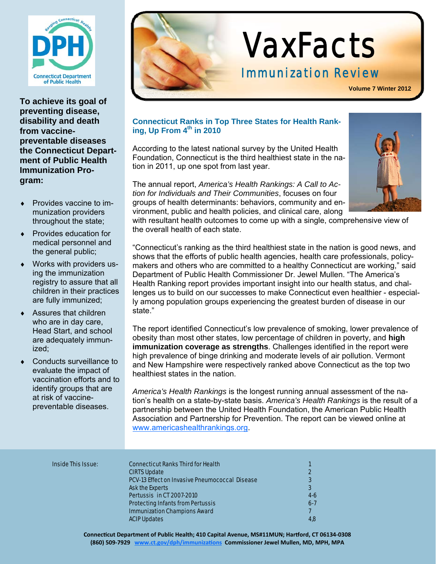

**To achieve its goal of preventing disease, disability and death from vaccinepreventable diseases the Connecticut Department of Public Health Immunization Program:** 

- Provides vaccine to immunization providers throughout the state;
- Provides education for medical personnel and the general public;
- Works with providers using the immunization registry to assure that all children in their practices are fully immunized;
- Assures that children who are in day care, Head Start, and school are adequately immunized;
- Conducts surveillance to evaluate the impact of vaccination efforts and to identify groups that are at risk of vaccinepreventable diseases.



# VaxFacts

# Immunization Review

**Volume 7 Winter 2012**

# **Connecticut Ranks in Top Three States for Health Ranking, Up From 4<sup>th</sup> in 2010**

According to the latest national survey by the United Health Foundation, Connecticut is the third healthiest state in the nation in 2011, up one spot from last year.

The annual report, *America's Health Rankings: A Call to Action for Individuals and Their Communities*, focuses on four groups of health determinants: behaviors, community and environment, public and health policies, and clinical care, along



with resultant health outcomes to come up with a single, comprehensive view of the overall health of each state.

"Connecticut's ranking as the third healthiest state in the nation is good news, and shows that the efforts of public health agencies, health care professionals, policymakers and others who are committed to a healthy Connecticut are working," said Department of Public Health Commissioner Dr. Jewel Mullen. "The America's Health Ranking report provides important insight into our health status, and challenges us to build on our successes to make Connecticut even healthier - especially among population groups experiencing the greatest burden of disease in our state."

The report identified Connecticut's low prevalence of smoking, lower prevalence of obesity than most other states, low percentage of children in poverty, and **high immunization coverage as strengths**. Challenges identified in the report were high prevalence of binge drinking and moderate levels of air pollution. Vermont and New Hampshire were respectively ranked above Connecticut as the top two healthiest states in the nation.

*America's Health Rankings* is the longest running annual assessment of the nation's health on a state-by-state basis. *America's Health Rankings* is the result of a partnership between the United Health Foundation, the American Public Health Association and Partnership for Prevention. The report can be viewed online at www.americashealthrankings.org.

#### **Inside This Issue:**

| <b>Inside This Issue:</b> | <b>Connecticut Ranks Third for Health</b>             |       |
|---------------------------|-------------------------------------------------------|-------|
|                           | <b>CIRTS Update</b>                                   |       |
|                           | <b>PCV-13 Effect on Invasive Pneumococcal Disease</b> |       |
|                           | <b>Ask the Experts</b>                                | 3     |
|                           | <b>Pertussis in CT 2007-2010</b>                      | $4-6$ |
|                           | <b>Protecting Infants from Pertussis</b>              | $6-7$ |
|                           | <b>Immunization Champions Award</b>                   |       |
|                           | <b>ACIP Updates</b>                                   | 4,8   |
|                           |                                                       |       |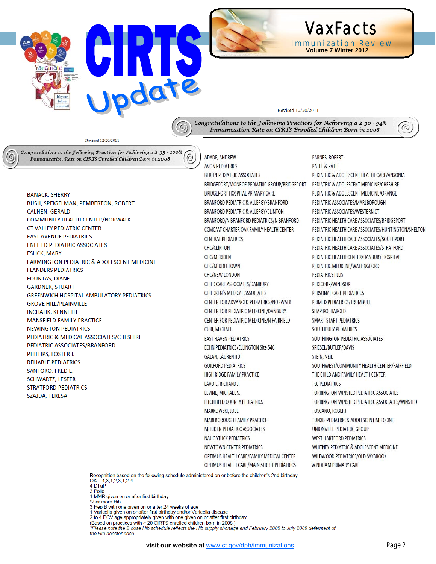



#### Revised 12/20/2011

Congratulations to the Following Practices for Achieving  $a \ge 90 - 94\%$ Immunization Rate on CIRTS Enrolled Children Born in 2008

Revised 12/20/2011

 $\epsilon$ 

Congratulations to the Following Practices for Achieving  $a \geq 95 - 100\%$  $\odot$ Immunization Rate on CIRTS Enrolled Children Born in 2008

**BANACK, SHERRY BUSH, SPEIGELMAN, PEMBERTON, ROBERT** CALNEN GERALD COMMUNITY HEALTH CENTER/NORWALK **CT VALLEY PEDIATRIC CENTER EAST AVENUE PEDIATRICS ENFIELD PEDIATRIC ASSOCIATES ESLICK, MARY FARMINGTON PEDIATRIC & ADOLESCENT MEDICINE FLANDERS PEDIATRICS FOUNTAS, DIANE GARDNER, STUART GREENWICH HOSPITAL AMBULATORY PEDIATRICS GROVE HILL/PLAINVILLE INCHALIK, KENNETH MANSFIFI D FAMILY PRACTICE NEWINGTON PEDIATRICS** PEDIATRIC & MEDICAL ASSOCIATES/CHESHIRE PEDIATRIC ASSOCIATES/BRANFORD PHILLIPS, FOSTER I. **RELIABLE PEDIATRICS** SANTORO, FRED E. **SCHWARTZ, LESTER STRATFORD PEDIATRICS** SZAJDA, TERESA

ADADE, ANDREW **AVON PEDIATRICS BERLIN PEDIATRIC ASSOCIATES** BRIDGEPORT/MONROE PEDIATRIC GROUP/BRIDGEPORT **BRIDGEPORT HOSPITAL PRIMARY CARE** BRANFORD PEDIATRIC & ALLERGY/BRANFORD BRANFORD PEDIATRIC & ALLERGY/CLINTON BRANFORD/N BRANFORD PEDIATRICS/N BRANFORD CCMC/AT CHARTER OAK FAMILY HEALTH CENTER **CENTRAL PEDIATRICS CHC/CLINTON CHC/MERIDEN** CHC/MIDDLETOWN CHC/NEW LONDON CHILD CARE ASSOCIATES/DANBURY CHILDREN'S MEDICAL ASSOCIATES CENTER FOR ADVANCED PEDIATRICS/NORWALK CENTER FOR PEDIATRIC MEDICINE/DANBURY CENTER FOR PEDIATRIC MEDICINE/N FAIRFIELD **CURI, MICHAEL EAST HAVEN PEDIATRICS** ECHN PEDIATRICS/ELLINGTON Site 546 **GALAN, LAURENTIU GUILFORD PEDIATRICS** HIGH RIDGE FAMILY PRACTICE LAVOIE, RICHARD J. LEVINE, MICHAEL S. LITCHFIELD COUNTY PEDIATRICS MARKOWSKI, JOEL MARLBOROUGH FAMILY PRACTICE **MERIDEN PEDIATRIC ASSOCIATES NAUGATUCK PEDIATRICS** NEWTOWN CENTER PEDIATRICS OPTIMUS HEALTH CARE/FAMILY MEDICAL CENTER OPTIMUS HEALTH CARE/MAIN STREET PEDIATRICS

PARNES, ROBERT PATEL & PATEL PEDIATRIC & ADOLESCENT HEALTH CARE/ANSONIA PEDIATRIC & ADOLESCENT MEDICINE/CHESHIRE PEDIATRIC & ADOLESCENT MEDICINE/ORANGE PEDIATRIC ASSOCIATES/MARLBOROUGH PEDIATRIC ASSOCIATES/WESTERN CT PEDIATRIC HEALTH CARE ASSOCIATES/BRIDGEPORT PEDIATRIC HEALTH CARE ASSOCIATES/HUNTINGTON/SHELTON PEDIATRIC HEALTH CARE ASSOCIATES/SOUTHPORT PEDIATRIC HEALTH CARE ASSOCIATES/STRATFORD PEDIATRIC HEALTH CENTER/DANBURY HOSPITAL PEDIATRIC MEDICINE/WALLINGFORD **PEDIATRICS PLUS** PEDICORP/WINDSOR PERSONAL CARE PEDIATRICS PRIMED PEDIATRICS/TRUMBULL SHAPIRO, HAROLD **SMART START PEDIATRICS SOUTHBURY PEDIATRICS** SOUTHINGTON PEDIATRIC ASSOCIATES SPIESEL/BUTLER/DAVIS **STEIN, NEIL** SOUTHWEST/COMMUNITY HEALTH CENTER/FAIRFIELD THE CHILD AND FAMILY HEALTH CENTER **TLC PEDIATRICS** TORRINGTON-WINSTED PEDIATRIC ASSOCIATES TORRINGTON-WINSTED PEDIATRIC ASSOCIATES/WINSTED **TOSCANO, ROBERT** TUNXIS PEDIATRIC & ADOLESCENT MEDICINE UNIONVILLE PEDIATRIC GROUP **WEST HARTFORD PEDIATRICS** WHITNEY PEDIATRIC & ADOLESCENT MEDICINE WILDWOOD PEDIATRICS/OLD SAYBROOK **WINDHAM PRIMARY CARE** 

 $\odot$ 

Recognition based on the following schedule administered on or before the children's 2nd birthday OK-4,3,1,2,3,1,2-4

3 Polio

1 MMR given on or after first birthday

\*2 or more Hib

2 Hep B with one given on or after 24 weeks of age<br>1 Varicella given on or after first birthday and/or Varicella disease<br>2 to 4 PCV age appropriately given with one given on or after first birthday

(Based on practices with ≥ 20 CIRTS enrolled children born in 2008.)

\*Please note the 2-dose Hib schedule reflects the Hib supply shortage and February 2008 to July 2009 deferment of the Hib booster dose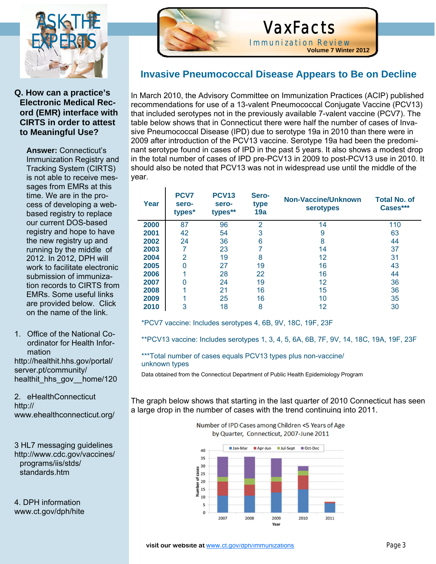

# **Q. How can a practice's Electronic Medical Record (EMR) interface with CIRTS in order to attest to Meaningful Use?**

**Answer:** Connecticut's Immunization Registry and Tracking System (CIRTS) is not able to receive messages from EMRs at this time. We are in the process of developing a webbased registry to replace our current DOS-based registry and hope to have the new registry up and running by the middle of 2012. In 2012, DPH will work to facilitate electronic submission of immunization records to CIRTS from EMRs. Some useful links are provided below. Click on the name of the link.

1. Office of the National Coordinator for Health Information

http://healthit.hhs.gov/portal/ server.pt/community/ healthit\_hhs\_gov\_\_home/120

2. eHealthConnecticut http:// www.ehealthconnecticut.org/

3 HL7 messaging guidelines http://www.cdc.gov/vaccines/ programs/iis/stds/ standards.htm

4. DPH information www.ct.gov/dph/hite



Ĩ

# VaxFacts

Immunization Review **Volume 7 Winter 2012**

# **Invasive Pneumococcal Disease Appears to Be on Decline**

In March 2010, the Advisory Committee on Immunization Practices (ACIP) published recommendations for use of a 13-valent Pneumococcal Conjugate Vaccine (PCV13) that included serotypes not in the previously available 7-valent vaccine (PCV7). The table below shows that in Connecticut there were half the number of cases of Invasive Pneumococcal Disease (IPD) due to serotype 19a in 2010 than there were in 2009 after introduction of the PCV13 vaccine. Serotype 19a had been the predominant serotype found in cases of IPD in the past 5 years. It also shows a modest drop in the total number of cases of IPD pre-PCV13 in 2009 to post-PCV13 use in 2010. It should also be noted that PCV13 was not in widespread use until the middle of the year.

| Year | PCV7<br>sero-<br>types* | <b>PCV13</b><br>sero-<br>types** | Sero-<br>type<br>19a | Non-Vaccine/Unknown<br><b>serotypes</b> | <b>Total No. of</b><br>Cases*** |
|------|-------------------------|----------------------------------|----------------------|-----------------------------------------|---------------------------------|
| 2000 | 87                      | 96                               | $\overline{2}$       | 14                                      | 110                             |
| 2001 | 42                      | 54                               | 3                    | 9                                       | 63                              |
| 2002 | 24                      | 36                               | 6                    | 8                                       | 44                              |
| 2003 |                         | 23                               |                      | 14                                      | 37                              |
| 2004 | $\overline{2}$          | 19                               | 8                    | 12                                      | 31                              |
| 2005 | O                       | 27                               | 19                   | 16                                      | 43                              |
| 2006 |                         | 28                               | 22                   | 16                                      | 44                              |
| 2007 | O                       | 24                               | 19                   | 12                                      | 36                              |
| 2008 |                         | 21                               | 16                   | 15                                      | 36                              |
| 2009 |                         | 25                               | 16                   | 10                                      | 35                              |
| 2010 | 3                       | 18                               | 8                    | 12                                      | 30                              |

\*PCV7 vaccine: Includes serotypes 4, 6B, 9V, 18C, 19F, 23F

\*\*PCV13 vaccine: Includes serotypes 1, 3, 4, 5, 6A, 6B, 7F, 9V, 14, 18C, 19A, 19F, 23F

\*\*\*Total number of cases equals PCV13 types plus non-vaccine/ unknown types

Data obtained from the Connecticut Department of Public Health Epidemiology Program

The graph below shows that starting in the last quarter of 2010 Connecticut has seen a large drop in the number of cases with the trend continuing into 2011.

> Jan-Mar Apr-Jun Ul-Sept Oct-Dec 40 35 30  $\frac{30}{3}$  25  $\frac{6}{6}$  20  $\frac{1}{2}$  and  $\frac{20}{10}$ 10  $\mathbf{s}$  $\Omega$ 2007 2011 2008 2009 2010 Year

Number of IPD Cases among Children <5 Years of Age by Quarter, Connecticut, 2007-June 2011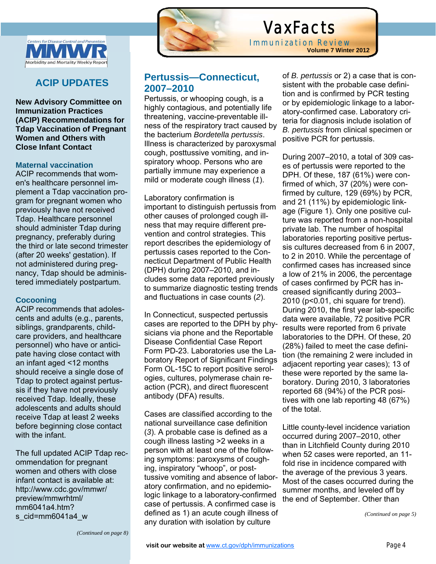

# **ACIP UPDATES**

**New Advisory Committee on Immunization Practices (ACIP) Recommendations for Tdap Vaccination of Pregnant Women and Others with Close Infant Contact** 

## **Maternal vaccination**

ACIP recommends that women's healthcare personnel implement a Tdap vaccination program for pregnant women who previously have not received Tdap. Healthcare personnel should administer Tdap during pregnancy, preferably during the third or late second trimester (after 20 weeks' gestation). If not administered during pregnancy, Tdap should be administered immediately postpartum.

#### **Cocooning**

ACIP recommends that adolescents and adults (e.g., parents, siblings, grandparents, childcare providers, and healthcare personnel) who have or anticipate having close contact with an infant aged <12 months should receive a single dose of Tdap to protect against pertussis if they have not previously received Tdap. Ideally, these adolescents and adults should receive Tdap at least 2 weeks before beginning close contact with the infant.

The full updated ACIP Tdap recommendation for pregnant women and others with close infant contact is available at: http://www.cdc.gov/mmwr/ preview/mmwrhtml/ mm6041a4.htm? s\_cid=mm6041a4\_w



# VaxFacts

Immunization Review **Volume 7 Winter 2012**

# **Pertussis—Connecticut, 2007–2010**

Pertussis, or whooping cough, is a highly contagious, and potentially life threatening, vaccine-preventable illness of the respiratory tract caused by the bacterium *Bordetella pertussis*. Illness is characterized by paroxysmal cough, posttussive vomiting, and inspiratory whoop. Persons who are partially immune may experience a mild or moderate cough illness (*1*).

Laboratory confirmation is important to distinguish pertussis from other causes of prolonged cough illness that may require different prevention and control strategies. This report describes the epidemiology of pertussis cases reported to the Connecticut Department of Public Health (DPH) during 2007–2010, and includes some data reported previously to summarize diagnostic testing trends and fluctuations in case counts (*2*).

In Connecticut, suspected pertussis cases are reported to the DPH by physicians via phone and the Reportable Disease Confidential Case Report Form PD-23. Laboratories use the Laboratory Report of Significant Findings Form OL-15C to report positive serologies, cultures, polymerase chain reaction (PCR), and direct fluorescent antibody (DFA) results.

Cases are classified according to the national surveillance case definition (*3*). A probable case is defined as a cough illness lasting >2 weeks in a person with at least one of the following symptoms: paroxysms of coughing, inspiratory "whoop", or posttussive vomiting and absence of laboratory confirmation, and no epidemiologic linkage to a laboratory-confirmed case of pertussis. A confirmed case is defined as 1) an acute cough illness of any duration with isolation by culture

of *B. pertussis* or 2) a case that is consistent with the probable case definition and is confirmed by PCR testing or by epidemiologic linkage to a laboratory-confirmed case. Laboratory criteria for diagnosis include isolation of *B. pertussis* from clinical specimen or positive PCR for pertussis.

During 2007–2010, a total of 309 cases of pertussis were reported to the DPH. Of these, 187 (61%) were confirmed of which, 37 (20%) were confirmed by culture, 129 (69%) by PCR, and 21 (11%) by epidemiologic linkage (Figure 1). Only one positive culture was reported from a non-hospital private lab. The number of hospital laboratories reporting positive pertussis cultures decreased from 6 in 2007, to 2 in 2010. While the percentage of confirmed cases has increased since a low of 21% in 2006, the percentage of cases confirmed by PCR has increased significantly during 2003– 2010 (p<0.01, chi square for trend). During 2010, the first year lab-specific data were available, 72 positive PCR results were reported from 6 private laboratories to the DPH. Of these, 20 (28%) failed to meet the case definition (the remaining 2 were included in adjacent reporting year cases); 13 of these were reported by the same laboratory. During 2010, 3 laboratories reported 68 (94%) of the PCR positives with one lab reporting 48 (67%) of the total.

Little county-level incidence variation occurred during 2007–2010, other than in Litchfield County during 2010 when 52 cases were reported, an 11 fold rise in incidence compared with the average of the previous 3 years. Most of the cases occurred during the summer months, and leveled off by the end of September. Other than

*(Continued on page 5)* 

*(Continued on page 8)*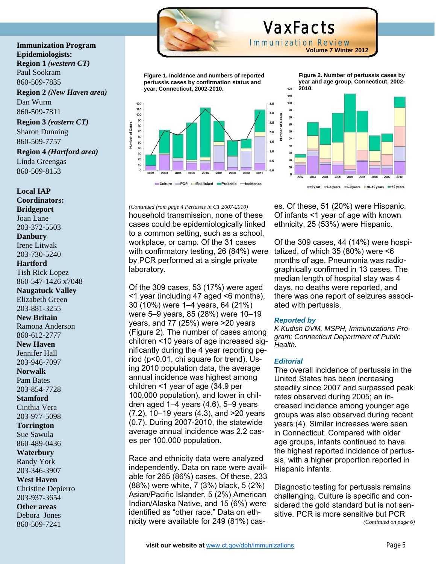

 VaxFacts Immunization Review **Volume 7 Winter 2012**

120

**Figure 1. Incidence and numbers of reported pertussis cases by confirmation status and year, Connecticut, 2002-2010.** 



**Figure 2. Number of pertussis cases by year and age group, Connecticut, 2002- 2010.**



es. Of these, 51 (20%) were Hispanic. Of infants <1 year of age with known ethnicity, 25 (53%) were Hispanic.

Of the 309 cases, 44 (14%) were hospitalized, of which 35 (80%) were <6 months of age. Pneumonia was radiographically confirmed in 13 cases. The median length of hospital stay was 4 days, no deaths were reported, and there was one report of seizures associated with pertussis.

#### *Reported by*

*K Kudish DVM, MSPH, Immunizations Program; Connecticut Department of Public Health.* 

#### *Editorial*

The overall incidence of pertussis in the United States has been increasing steadily since 2007 and surpassed peak rates observed during 2005; an increased incidence among younger age groups was also observed during recent years (4). Similar increases were seen in Connecticut. Compared with older age groups, infants continued to have the highest reported incidence of pertussis, with a higher proportion reported in Hispanic infants.

Diagnostic testing for pertussis remains challenging. Culture is specific and considered the gold standard but is not sensitive. PCR is more sensitive but PCR *(Continued on page 6)* 

Sharon Dunning 860-509-7757 **Region 4** *(Hartford area)* Linda Greengas 860-509-8153

**Region 3** *(eastern CT)*

**Immunization Program** 

**Region 2** *(New Haven area)* 

**Epidemiologists: Region 1** *(western CT)* 

Paul Sookram 860-509-7835

Dan Wurm 860-509-7811

**Local IAP Coordinators: Bridgeport**  Joan Lane 203-372-5503 **Danbury**  Irene Litwak 203-730-5240 **Hartford**  Tish Rick Lopez

860-547-1426 x7048 **Naugatuck Valley**  Elizabeth Green 203-881-3255

**New Britain**  Ramona Anderson

860-612-2777 **New Haven**  Jennifer Hall

203-946-7097

**Norwalk**  Pam Bates

203-854-7728

**Stamford** 

Cinthia Vera 203-977-5098

**Torrington**  Sue Sawula

860-489-0436 **Waterbury** 

Randy York

203-346-3907

**West Haven** 

Christine Depierro 203-937-3654

**Other areas**  Debora Jones 860-509-7241

# *(Continued from page 4 Pertussis in CT 2007-2010)*

household transmission, none of these cases could be epidemiologically linked to a common setting, such as a school, workplace, or camp. Of the 31 cases with confirmatory testing, 26 (84%) were by PCR performed at a single private laboratory.

Of the 309 cases, 53 (17%) were aged <1 year (including 47 aged <6 months), 30 (10%) were 1–4 years, 64 (21%) were 5–9 years, 85 (28%) were 10–19 years, and 77 (25%) were >20 years (Figure 2). The number of cases among children <10 years of age increased significantly during the 4 year reporting period (p<0.01, chi square for trend). Using 2010 population data, the average annual incidence was highest among children <1 year of age (34.9 per 100,000 population), and lower in children aged  $1-4$  years  $(4.6)$ ,  $5-9$  years (7.2), 10–19 years (4.3), and >20 years (0.7). During 2007-2010, the statewide average annual incidence was 2.2 cases per 100,000 population.

Race and ethnicity data were analyzed independently. Data on race were available for 265 (86%) cases. Of these, 233 (88%) were white, 7 (3%) black, 5 (2%) Asian/Pacific Islander, 5 (2%) American Indian/Alaska Native, and 15 (6%) were identified as "other race." Data on ethnicity were available for 249 (81%) cas-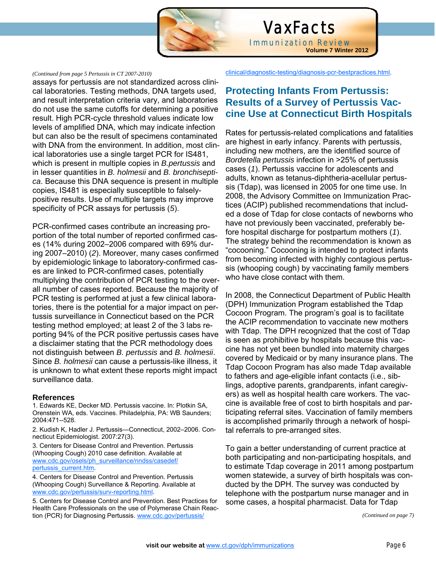

# VaxFacts Immunization Review **Volume 7 Winter 2012**

#### *(Continued from page 5 Pertussis in CT 2007-2010)*

assays for pertussis are not standardized across clinical laboratories. Testing methods, DNA targets used, and result interpretation criteria vary, and laboratories do not use the same cutoffs for determining a positive result. High PCR-cycle threshold values indicate low levels of amplified DNA, which may indicate infection but can also be the result of specimens contaminated with DNA from the environment. In addition, most clinical laboratories use a single target PCR for IS481, which is present in multiple copies in *B.pertussis* and in lesser quantities in *B. holmesii* and *B. bronchiseptica*. Because this DNA sequence is present in multiple copies, IS481 is especially susceptible to falselypositive results. Use of multiple targets may improve specificity of PCR assays for pertussis (*5*).

PCR-confirmed cases contribute an increasing proportion of the total number of reported confirmed cases (14% during 2002–2006 compared with 69% during 2007–2010) (*2*). Moreover, many cases confirmed by epidemiologic linkage to laboratory-confirmed cases are linked to PCR-confirmed cases, potentially multiplying the contribution of PCR testing to the overall number of cases reported. Because the majority of PCR testing is performed at just a few clinical laboratories, there is the potential for a major impact on pertussis surveillance in Connecticut based on the PCR testing method employed; at least 2 of the 3 labs reporting 94% of the PCR positive pertussis cases have a disclaimer stating that the PCR methodology does not distinguish between *B. pertussis* and *B. holmesii*. Since *B. holmesii* can cause a pertussis-like illness, it is unknown to what extent these reports might impact surveillance data.

#### **References**

1. Edwards KE, Decker MD. Pertussis vaccine. In: Plotkin SA, Orenstein WA, eds. Vaccines. Philadelphia, PA: WB Saunders; 2004:471--528.

2. Kudish K, Hadler J. Pertussis—Connecticut, 2002–2006. Connecticut Epidemiologist. 2007:27(3).

3. Centers for Disease Control and Prevention. Pertussis (Whooping Cough) 2010 case definition. Available at www.cdc.gov/osels/ph\_surveillance/nndss/casedef/ pertussis\_current.htm.

4. Centers for Disease Control and Prevention. Pertussis (Whooping Cough) Surveillance & Reporting. Available at www.cdc.gov/pertussis/surv-reporting.html.

5. Centers for Disease Control and Prevention. Best Practices for Health Care Professionals on the use of Polymerase Chain Reaction (PCR) for Diagnosing Pertussis. www.cdc.gov/pertussis/

clinical/diagnostic-testing/diagnosis-pcr-bestpractices.html.

# **Protecting Infants From Pertussis: Results of a Survey of Pertussis Vaccine Use at Connecticut Birth Hospitals**

Rates for pertussis-related complications and fatalities are highest in early infancy. Parents with pertussis, including new mothers, are the identified source of *Bordetella pertussis* infection in >25% of pertussis cases (*1*). Pertussis vaccine for adolescents and adults, known as tetanus-diphtheria-acellular pertussis (Tdap), was licensed in 2005 for one time use. In 2008, the Advisory Committee on Immunization Practices (ACIP) published recommendations that included a dose of Tdap for close contacts of newborns who have not previously been vaccinated, preferably before hospital discharge for postpartum mothers (*1*). The strategy behind the recommendation is known as "cocooning." Cocooning is intended to protect infants from becoming infected with highly contagious pertussis (whooping cough) by vaccinating family members who have close contact with them.

In 2008, the Connecticut Department of Public Health (DPH) Immunization Program established the Tdap Cocoon Program. The program's goal is to facilitate the ACIP recommendation to vaccinate new mothers with Tdap. The DPH recognized that the cost of Tdap is seen as prohibitive by hospitals because this vaccine has not yet been bundled into maternity charges covered by Medicaid or by many insurance plans. The Tdap Cocoon Program has also made Tdap available to fathers and age-eligible infant contacts (i.e., siblings, adoptive parents, grandparents, infant caregivers) as well as hospital health care workers. The vaccine is available free of cost to birth hospitals and participating referral sites. Vaccination of family members is accomplished primarily through a network of hospital referrals to pre-arranged sites.

To gain a better understanding of current practice at both participating and non-participating hospitals, and to estimate Tdap coverage in 2011 among postpartum women statewide, a survey of birth hospitals was conducted by the DPH. The survey was conducted by telephone with the postpartum nurse manager and in some cases, a hospital pharmacist. Data for Tdap

*(Continued on page 7)*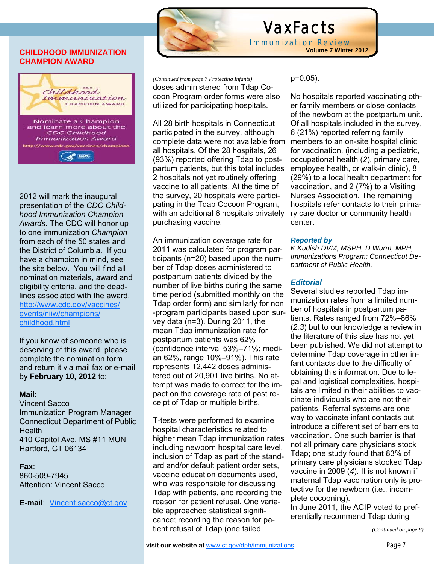## **CHILDHOOD IMMUNIZATION CHAMPION AWARD**



2012 will mark the inaugural presentation of the *CDC Childhood Immunization Champion Awards*. The CDC will honor up to one immunization *Champion*  from each of the 50 states and the District of Columbia. If you have a champion in mind, see the site below. You will find all nomination materials, award and eligibility criteria, and the deadlines associated with the award. http://www.cdc.gov/vaccines/ events/niiw/champions/ childhood.html

If you know of someone who is deserving of this award, please complete the nomination form and return it via mail fax or e-mail by **February 10, 2012** to:

#### **Mail**:

Vincent Sacco Immunization Program Manager Connecticut Department of Public **Health** 410 Capitol Ave. MS #11 MUN Hartford, CT 06134

#### **Fax**:

860-509-7945 Attention: Vincent Sacco

**E-mail**: Vincent.sacco@ct.gov



I

# VaxFacts

**Immunization Review**<br>Volume 7 Winter 2012

doses administered from Tdap Cocoon Program order forms were also utilized for participating hospitals. *(Continued from page 7 Protecting Infants)* 

All 28 birth hospitals in Connecticut participated in the survey, although complete data were not available from all hospitals. Of the 28 hospitals, 26 (93%) reported offering Tdap to postpartum patients, but this total includes 2 hospitals not yet routinely offering vaccine to all patients. At the time of the survey, 20 hospitals were participating in the Tdap Cocoon Program, with an additional 6 hospitals privately purchasing vaccine.

An immunization coverage rate for 2011 was calculated for program participants (n=20) based upon the number of Tdap doses administered to postpartum patients divided by the number of live births during the same time period (submitted monthly on the Tdap order form) and similarly for non -program participants based upon survey data (n=3). During 2011, the mean Tdap immunization rate for postpartum patients was 62% (confidence interval 53%–71%; median 62%, range 10%–91%). This rate represents 12,442 doses administered out of 20,901 live births. No attempt was made to correct for the impact on the coverage rate of past receipt of Tdap or multiple births.

T-tests were performed to examine hospital characteristics related to higher mean Tdap immunization rates including newborn hospital care level, inclusion of Tdap as part of the standard and/or default patient order sets, vaccine education documents used, who was responsible for discussing Tdap with patients, and recording the reason for patient refusal. One variable approached statistical significance; recording the reason for patient refusal of Tdap (one tailed

p=0.05).

No hospitals reported vaccinating other family members or close contacts of the newborn at the postpartum unit. Of all hospitals included in the survey, 6 (21%) reported referring family members to an on-site hospital clinic for vaccination, (including a pediatric, occupational health (*2*), primary care, employee health, or walk-in clinic), 8 (29%) to a local health department for vaccination, and 2 (7%) to a Visiting Nurses Association. The remaining hospitals refer contacts to their primary care doctor or community health center.

## *Reported by*

*K Kudish DVM, MSPH, D Wurm, MPH, Immunizations Program; Connecticut Department of Public Health.* 

# *Editorial*

Several studies reported Tdap immunization rates from a limited number of hospitals in postpartum patients. Rates ranged from 72%–86% (*2,3*) but to our knowledge a review in the literature of this size has not yet been published. We did not attempt to determine Tdap coverage in other infant contacts due to the difficulty of obtaining this information. Due to legal and logistical complexities, hospitals are limited in their abilities to vaccinate individuals who are not their patients. Referral systems are one way to vaccinate infant contacts but introduce a different set of barriers to vaccination. One such barrier is that not all primary care physicians stock Tdap; one study found that 83% of primary care physicians stocked Tdap vaccine in 2009 (*4*). It is not known if maternal Tdap vaccination only is protective for the newborn (i.e., incomplete cocooning).

In June 2011, the ACIP voted to preferentially recommend Tdap during

*(Continued on page 8)*